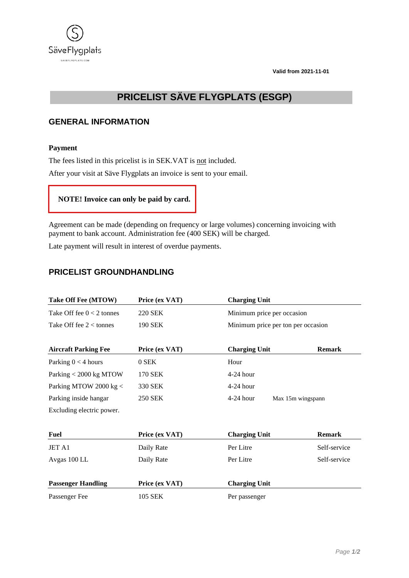**Valid from 2021-11-01**



# **PRICELIST SÄVE FLYGPLATS (ESGP)**

# **GENERAL INFORMATION**

### **Payment**

The fees listed in this pricelist is in SEK.VAT is not included.

After your visit at Säve Flygplats an invoice is sent to your email.



Agreement can be made (depending on frequency or large volumes) concerning invoicing with payment to bank account. Administration fee (400 SEK) will be charged.

Late payment will result in interest of overdue payments.

## **PRICELIST GROUNDHANDLING**

| Take Off Fee (MTOW)         | Price (ex VAT) | <b>Charging Unit</b> |                                    |  |
|-----------------------------|----------------|----------------------|------------------------------------|--|
| Take Off fee $0 < 2$ tonnes | <b>220 SEK</b> |                      | Minimum price per occasion         |  |
| Take Off fee $2 <$ tonnes   | <b>190 SEK</b> |                      | Minimum price per ton per occasion |  |
| <b>Aircraft Parking Fee</b> | Price (ex VAT) | <b>Charging Unit</b> | <b>Remark</b>                      |  |
| Parking $0 < 4$ hours       | 0 SEK          | Hour                 |                                    |  |
| Parking < 2000 kg MTOW      | 170 SEK        | $4-24$ hour          |                                    |  |
| Parking MTOW 2000 kg <      | 330 SEK        | $4-24$ hour          |                                    |  |
| Parking inside hangar       | <b>250 SEK</b> | $4-24$ hour          | Max 15m wingspann                  |  |
| Excluding electric power.   |                |                      |                                    |  |
| <b>Fuel</b>                 | Price (ex VAT) | <b>Charging Unit</b> | <b>Remark</b>                      |  |
| JET A1                      | Daily Rate     | Per Litre            | Self-service                       |  |
| Avgas 100 LL                | Daily Rate     | Per Litre            | Self-service                       |  |
| <b>Passenger Handling</b>   | Price (ex VAT) | <b>Charging Unit</b> |                                    |  |
| Passenger Fee               | 105 SEK        | Per passenger        |                                    |  |